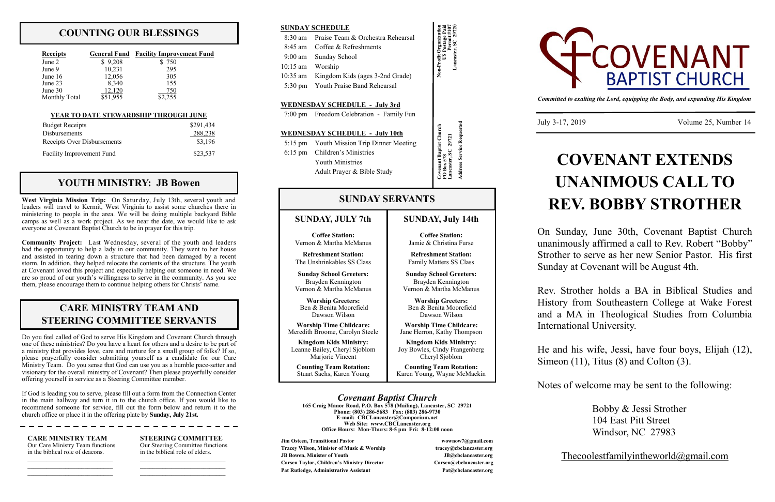# **COUNTING OUR BLESSINGS**

| <b>Receipts</b>      |          | <b>General Fund</b> Facility Improvement Fund |  |  |
|----------------------|----------|-----------------------------------------------|--|--|
| June 2               | \$9,208  | \$750                                         |  |  |
| June 9               | 10,231   | 295                                           |  |  |
| June $16$            | 12,056   | 305                                           |  |  |
| June 23              | 8,340    | 155                                           |  |  |
| June $30$            | 12.120   | 750                                           |  |  |
| <b>Monthly Total</b> | \$51,955 | \$2,255                                       |  |  |

**Jim Osteen, Transitional Pastor wownow7@gmail.com Tracey Wilson, Minister of Music & Worship tracey@cbclancaster.org JB Bowen, Minister of Youth JB@cbclancaster.org Carsen Taylor, Children's Ministry Director Carsen@cbclancaster.org** Pat Rutledge, Administrative Assistant **Pat Acceleration** Pat *Rutledge, Administrative Assistant* 

*Covenant Baptist Church* **165 Craig Manor Road, P.O. Box 578 (Mailing), Lancaster, SC 29721**

**Phone: (803) 286-5683 Fax: (803) 286-9730 E-mail: CBCLancaster@Comporium.net Web Site: www.CBCLancaster.org Office Hours: Mon-Thurs: 8-5 pm Fri: 8-12:00 noon**

**Kingdom Kids Ministry:** Leanne Bailey, Cheryl Sjoblom Mariorie Vincent

# **SUNDAY, JULY 7th**

**Coffee Station:** Vernon & Martha McManus

**Refreshment Station:** The Unshrinkables SS Class

**Sunday School Greeters:** Brayden Kennington Vernon & Martha McManus

**Worship Greeters:** Ben & Benita Moorefield Dawson Wilson

**Worship Time Childcare:** Meredith Broome, Carolyn Steele

**Counting Team Rotation:** Stuart Sachs, Karen Young

# **SUNDAY SERVANTS**

**Covenant Baptist Church Covenant Baptist Church<br>PO Box 578<br>Lancaster, SC 29721 Lancaster, SC 29721 Address Service Requested**

**Non-Profit Organization US Postage Paid Permit #107 Lancaster, SC 29720**

# **SUNDAY SCHEDULE**

|                  | 8:30 am Praise Team & Orchestra Rehearsal |
|------------------|-------------------------------------------|
|                  | 8:45 am Coffee & Refreshments             |
|                  | 9:00 am Sunday School                     |
| 10:15 am Worship |                                           |
|                  | 10:35 am Kingdom Kids (ages 3-2nd Grade)  |

5:30 pm Youth Praise Band Rehearsal

### **WEDNESDAY SCHEDULE - July 3rd**

7:00 pm Freedom Celebration - Family Fun

### **WEDNESDAY SCHEDULE - July 10th**

 5:15 pm Youth Mission Trip Dinner Meeting 6:15 pm Children's Ministries Youth Ministries Adult Prayer & Bible Study

*Committed to exalting the Lord, equipping the Body, and expanding His Kingdom*

July 3-17, 2019 Volume 25, Number 14

# **YOUTH MINISTRY: JB Bowen**

**SUNDAY, July 14th**

**Coffee Station:** Jamie & Christina Furse **Refreshment Station:** Family Matters SS Class **Sunday School Greeters:** Brayden Kennington Vernon & Martha McManus **Worship Greeters:** Ben & Benita Moorefield Dawson Wilson **Worship Time Childcare:** Jane Herron, Kathy Thompson **Kingdom Kids Ministry:** Joy Bowles, Cindy Frangenberg Cheryl Sjoblom **Counting Team Rotation:** Karen Young, Wayne McMackin



# $\frac{100 \text{ y } 3-17, 2019}$  volume 25, Numt **UNANIMOUS CALL TO REV. BOBBY STROTHER**

**West Virginia Mission Trip:** On Saturday, July 13th, several youth and leaders will travel to Kermit, West Virginia to assist some churches there in ministering to people in the area. We will be doing multiple backyard Bible camps as well as a work project. As we near the date, we would like to ask everyone at Covenant Baptist Church to be in prayer for this trip.

> He and his wife, Jessi, have four boys, Elijah (12), Simeon (11), Titus (8) and Colton (3).

**Community Project:** Last Wednesday, several of the youth and leaders had the opportunity to help a lady in our community. They went to her house and assisted in tearing down a structure that had been damaged by a recent storm. In addition, they helped relocate the contents of the structure. The youth at Covenant loved this project and especially helping out someone in need. We are so proud of our youth's willingness to serve in the community. As you see them, please encourage them to continue helping others for Christs' name.

Do you feel called of God to serve His Kingdom and Covenant Church through one of these ministries? Do you have a heart for others and a desire to be part of a ministry that provides love, care and nurture for a small group of folks? If so, please prayerfully consider submitting yourself as a candidate for our Care Ministry Team. Do you sense that God can use you as a humble pace-setter and visionary for the overall ministry of Covenant? Then please prayerfully consider offering yourself in service as a Steering Committee member.

If God is leading you to serve, please fill out a form from the Connection Center in the main hallway and turn it in to the church office. If you would like to recommend someone for service, fill out the form below and return it to the church office or place it in the offering plate by **Sunday, July 21st.**

#### **CARE MINISTRY TEAM** Our Care Ministry Team functions in the biblical role of deacons.

 $\mathcal{L}_\text{max}$  , and the set of the set of the set of the set of the set of the set of the set of the set of the set of the set of the set of the set of the set of the set of the set of the set of the set of the set of the  $\mathcal{L}_\text{max}$  , where  $\mathcal{L}_\text{max}$  and  $\mathcal{L}_\text{max}$  **STEERING COMMITTEE** Our Steering Committee functions in the biblical role of elders.

 $\mathcal{L}_\text{max}$  , and the set of the set of the set of the set of the set of the set of the set of the set of the set of the set of the set of the set of the set of the set of the set of the set of the set of the set of the  $\mathcal{L}_\text{max}$  and  $\mathcal{L}_\text{max}$  and  $\mathcal{L}_\text{max}$ 

# **CARE MINISTRY TEAM AND STEERING COMMITTEE SERVANTS**

#### **YEAR TO DATE STEWARDSHIP THROUGH JUNE**

| <b>Budget Receipts</b>           | \$291,434 |
|----------------------------------|-----------|
| <b>Disbursements</b>             | 288,238   |
| Receipts Over Disbursements      | \$3,196   |
| <b>Facility Improvement Fund</b> | \$23,537  |

On Sunday, June 30th, Covenant Baptist Church unanimously affirmed a call to Rev. Robert "Bobby" Strother to serve as her new Senior Pastor. His first Sunday at Covenant will be August 4th.

Rev. Strother holds a BA in Biblical Studies and History from Southeastern College at Wake Forest and a MA in Theological Studies from Columbia International University.

Notes of welcome may be sent to the following:

Bobby & Jessi Strother 104 East Pitt Street Windsor, NC 27983

Thecoolestfamilyintheworld@gmail.com